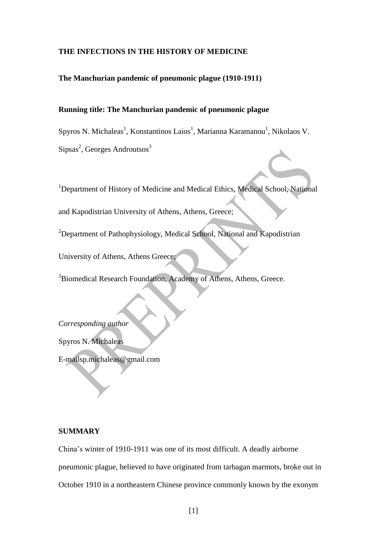#### **THE INFECTIONS IN THE HISTORY OF MEDICINE**

**The Manchurian pandemic of pneumonic plague (1910-1911)**

### **Running title: The Manchurian pandemic of pneumonic plague**

Spyros N. Michaleas<sup>1</sup>, Konstantinos Laios<sup>1</sup>, Marianna Karamanou<sup>1</sup>, Nikolaos V. Sipsas<sup>2</sup>, Georges Androutsos<sup>3</sup>

<sup>1</sup>Department of History of Medicine and Medical Ethics, Medical School, National

and Kapodistrian University of Athens, Athens, Greece;

<sup>2</sup>Department of Pathophysiology, Medical School, National and Kapodistrian

University of Athens, Athens Greece;

<sup>3</sup>Biomedical Research Foundation, Academy of Athens, Athens, Greece.

*Corresponding author*

Spyros N. Michaleas

E-mailsp.michaleas@gmail.com

## **SUMMARY**

China's winter of 1910-1911 was one of its most difficult. A deadly airborne pneumonic plague, believed to have originated from tarbagan marmots, broke out in October 1910 in a northeastern Chinese province commonly known by the exonym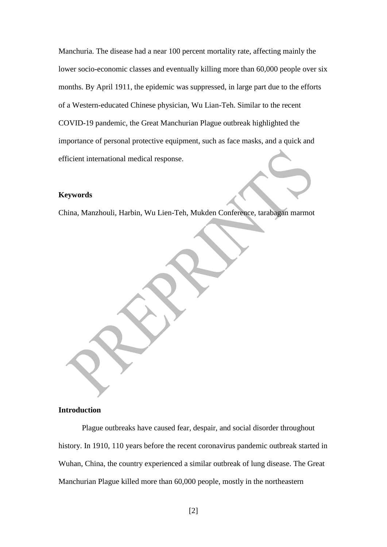Manchuria. The disease had a near 100 percent mortality rate, affecting mainly the lower socio-economic classes and eventually killing more than 60,000 people over six months. By April 1911, the epidemic was suppressed, in large part due to the efforts of a Western-educated Chinese physician, Wu Lian-Teh. Similar to the recent COVID-19 pandemic, the Great Manchurian Plague outbreak highlighted the importance of personal protective equipment, such as face masks, and a quick and efficient international medical response.

#### **Keywords**

China, Manzhouli, Harbin, Wu Lien-Teh, Mukden Conference, tarabagan marmot

### **Introduction**

Plague outbreaks have caused fear, despair, and social disorder throughout history. In 1910, 110 years before the recent coronavirus pandemic outbreak started in Wuhan, China, the country experienced a similar outbreak of lung disease. The Great Manchurian Plague killed more than 60,000 people, mostly in the northeastern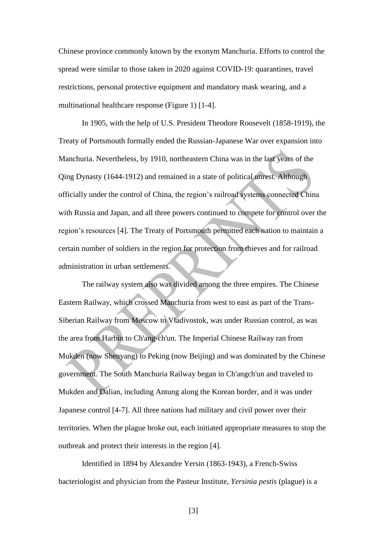Chinese province commonly known by the exonym Manchuria. Efforts to control the spread were similar to those taken in 2020 against COVID-19: quarantines, travel restrictions, personal protective equipment and mandatory mask wearing, and a multinational healthcare response (Figure 1) [1-4].

In 1905, with the help of U.S. President Theodore Roosevelt (1858-1919), the Treaty of Portsmouth formally ended the Russian-Japanese War over expansion into Manchuria. Nevertheless, by 1910, northeastern China was in the last years of the Qing Dynasty (1644-1912) and remained in a state of political unrest. Although officially under the control of China, the region's railroad systems connected China with Russia and Japan, and all three powers continued to compete for control over the region's resources [4]. The Treaty of Portsmouth permitted each nation to maintain a certain number of soldiers in the region for protection from thieves and for railroad administration in urban settlements.

The railway system also was divided among the three empires. The Chinese Eastern Railway, which crossed Manchuria from west to east as part of the Trans-Siberian Railway from Moscow to Vladivostok, was under Russian control, as was the area from Harbin to Ch'ang-ch'un. The Imperial Chinese Railway ran from Mukden (now Shenyang) to Peking (now Beijing) and was dominated by the Chinese government. The South Manchuria Railway began in Ch'angch'un and traveled to Mukden and Dalian, including Antung along the Korean border, and it was under Japanese control [4-7]. All three nations had military and civil power over their territories. When the plague broke out, each initiated appropriate measures to stop the outbreak and protect their interests in the region [4].

Identified in 1894 by Alexandre Yersin (1863-1943), a French-Swiss bacteriologist and physician from the Pasteur Institute, *Yersinia pestis* (plague) is a

[3]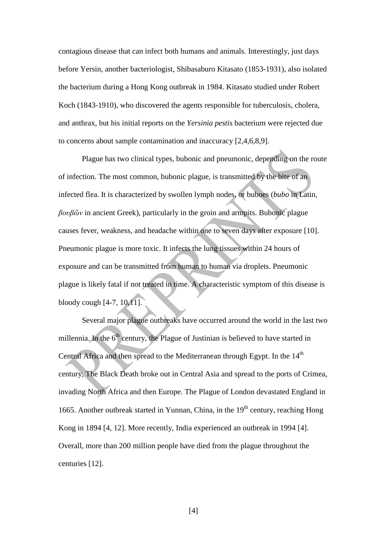contagious disease that can infect both humans and animals. Interestingly, just days before Yersin, another bacteriologist, Shibasaburo Kitasato (1853-1931), also isolated the bacterium during a Hong Kong outbreak in 1984. Kitasato studied under Robert Koch (1843-1910), who discovered the agents responsible for tuberculosis, cholera, and anthrax, but his initial reports on the *Yersinia pestis* bacterium were rejected due to concerns about sample contamination and inaccuracy [2,4,6,8,9].

Plague has two clinical types, bubonic and pneumonic, depending on the route of infection. The most common, bubonic plague, is transmitted by the bite of an infected flea. It is characterized by swollen lymph nodes, or buboes (*bubo* in Latin, *βουβῶν* in ancient Greek), particularly in the groin and armpits. Bubonic plague causes fever, weakness, and headache within one to seven days after exposure [10]. Pneumonic plague is more toxic. It infects the lung tissues within 24 hours of exposure and can be transmitted from human to human via droplets. Pneumonic plague is likely fatal if not treated in time. A characteristic symptom of this disease is bloody cough [4-7, 10,11].

Several major plague outbreaks have occurred around the world in the last two millennia. In the  $6<sup>th</sup>$  century, the Plague of Justinian is believed to have started in Central Africa and then spread to the Mediterranean through Egypt. In the  $14<sup>th</sup>$ century, The Black Death broke out in Central Asia and spread to the ports of Crimea, invading North Africa and then Europe. The Plague of London devastated England in 1665. Another outbreak started in Yunnan, China, in the  $19<sup>th</sup>$  century, reaching Hong Kong in 1894 [4, 12]. More recently, India experienced an outbreak in 1994 [4]. Overall, more than 200 million people have died from the plague throughout the centuries [12].

[4]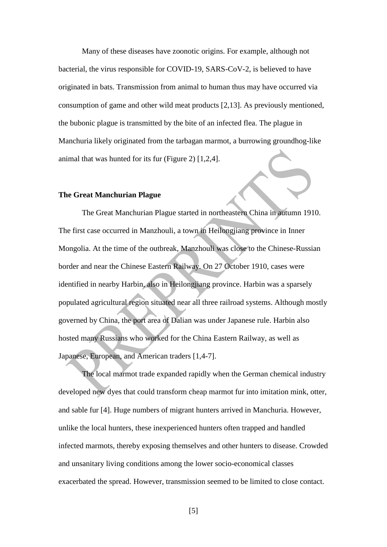Many of these diseases have zoonotic origins. For example, although not bacterial, the virus responsible for COVID-19, SARS-CoV-2, is believed to have originated in bats. Transmission from animal to human thus may have occurred via consumption of game and other wild meat products [2,13]. As previously mentioned, the bubonic plague is transmitted by the bite of an infected flea. The plague in Manchuria likely originated from the tarbagan marmot, a burrowing groundhog-like animal that was hunted for its fur (Figure 2) [1,2,4].

#### **The Great Manchurian Plague**

The Great Manchurian Plague started in northeastern China in autumn 1910. The first case occurred in Manzhouli, a town in Heilongjiang province in Inner Mongolia. At the time of the outbreak, Manzhouli was close to the Chinese-Russian border and near the Chinese Eastern Railway. On 27 October 1910, cases were identified in nearby Harbin, also in Heilongjiang province. Harbin was a sparsely populated agricultural region situated near all three railroad systems. Although mostly governed by China, the port area of Dalian was under Japanese rule. Harbin also hosted many Russians who worked for the China Eastern Railway, as well as Japanese, European, and American traders [1,4-7].

The local marmot trade expanded rapidly when the German chemical industry developed new dyes that could transform cheap marmot fur into imitation mink, otter, and sable fur [4]. Huge numbers of migrant hunters arrived in Manchuria. However, unlike the local hunters, these inexperienced hunters often trapped and handled infected marmots, thereby exposing themselves and other hunters to disease. Crowded and unsanitary living conditions among the lower socio-economical classes exacerbated the spread. However, transmission seemed to be limited to close contact.

[5]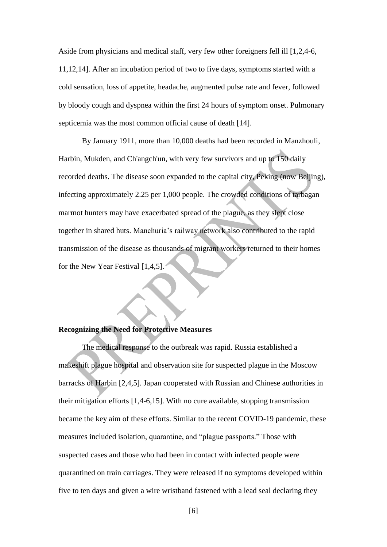Aside from physicians and medical staff, very few other foreigners fell ill [1,2,4-6, 11,12,14]. After an incubation period of two to five days, symptoms started with a cold sensation, loss of appetite, headache, augmented pulse rate and fever, followed by bloody cough and dyspnea within the first 24 hours of symptom onset. Pulmonary septicemia was the most common official cause of death [14].

By January 1911, more than 10,000 deaths had been recorded in Manzhouli, Harbin, Mukden, and Ch'angch'un, with very few survivors and up to 150 daily recorded deaths. The disease soon expanded to the capital city, Peking (now Beijing), infecting approximately 2.25 per 1,000 people. The crowded conditions of tarbagan marmot hunters may have exacerbated spread of the plague, as they slept close together in shared huts. Manchuria's railway network also contributed to the rapid transmission of the disease as thousands of migrant workers returned to their homes for the New Year Festival [1,4,5].

#### **Recognizing the Need for Protective Measures**

The medical response to the outbreak was rapid. Russia established a makeshift plague hospital and observation site for suspected plague in the Moscow barracks of Harbin [2,4,5]. Japan cooperated with Russian and Chinese authorities in their mitigation efforts [1,4-6,15]. With no cure available, stopping transmission became the key aim of these efforts. Similar to the recent COVID-19 pandemic, these measures included isolation, quarantine, and "plague passports." Those with suspected cases and those who had been in contact with infected people were quarantined on train carriages. They were released if no symptoms developed within five to ten days and given a wire wristband fastened with a lead seal declaring they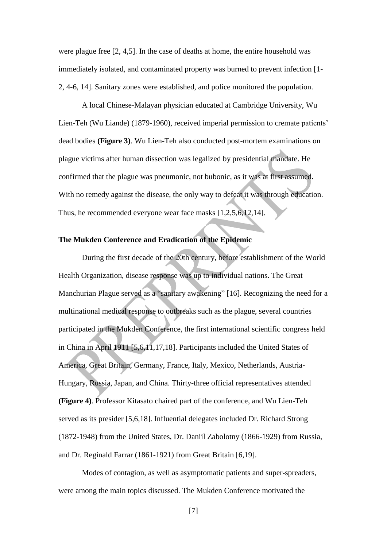were plague free [2, 4,5]. In the case of deaths at home, the entire household was immediately isolated, and contaminated property was burned to prevent infection [1- 2, 4-6, 14]. Sanitary zones were established, and police monitored the population.

A local Chinese-Malayan physician educated at Cambridge University, Wu Lien-Teh (Wu Liande) (1879-1960), received imperial permission to cremate patients' dead bodies **(Figure 3)**. Wu Lien-Teh also conducted post-mortem examinations on plague victims after human dissection was legalized by presidential mandate. He confirmed that the plague was pneumonic, not bubonic, as it was at first assumed. With no remedy against the disease, the only way to defeat it was through education. Thus, he recommended everyone wear face masks [1,2,5,6,12,14].

# **The Mukden Conference and Eradication of the Epidemic**

During the first decade of the 20th century, before establishment of the World Health Organization, disease response was up to individual nations. The Great Manchurian Plague served as a "sanitary awakening" [16]. Recognizing the need for a multinational medical response to outbreaks such as the plague, several countries participated in the Mukden Conference, the first international scientific congress held in China in April 1911 [5,6,11,17,18]. Participants included the United States of America, Great Britain, Germany, France, Italy, Mexico, Netherlands, Austria-Hungary, Russia, Japan, and China. Thirty-three official representatives attended **(Figure 4)**. Professor Kitasato chaired part of the conference, and Wu Lien-Teh served as its presider [5,6,18]. Influential delegates included Dr. Richard Strong (1872-1948) from the United States, Dr. Daniil Zabolotny (1866-1929) from Russia, and Dr. Reginald Farrar (1861-1921) from Great Britain [6,19].

Modes of contagion, as well as asymptomatic patients and super-spreaders, were among the main topics discussed. The Mukden Conference motivated the

[7]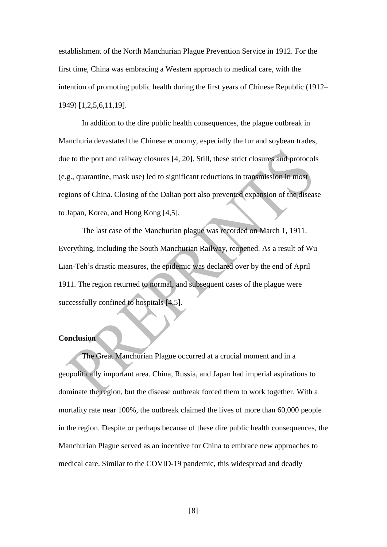establishment of the North Manchurian Plague Prevention Service in 1912. For the first time, China was embracing a Western approach to medical care, with the intention of promoting public health during the first years of Chinese Republic (1912– 1949) [1,2,5,6,11,19].

In addition to the dire public health consequences, the plague outbreak in Manchuria devastated the Chinese economy, especially the fur and soybean trades, due to the port and railway closures [4, 20]. Still, these strict closures and protocols (e.g., quarantine, mask use) led to significant reductions in transmission in most regions of China. Closing of the Dalian port also prevented expansion of the disease to Japan, Korea, and Hong Kong [4,5].

The last case of the Manchurian plague was recorded on March 1, 1911. Everything, including the South Manchurian Railway, reopened. As a result of Wu Lian-Teh's drastic measures, the epidemic was declared over by the end of April 1911. The region returned to normal, and subsequent cases of the plague were successfully confined to hospitals [4,5].

# **Conclusion**

The Great Manchurian Plague occurred at a crucial moment and in a geopolitically important area. China, Russia, and Japan had imperial aspirations to dominate the region, but the disease outbreak forced them to work together. With a mortality rate near 100%, the outbreak claimed the lives of more than 60,000 people in the region. Despite or perhaps because of these dire public health consequences, the Manchurian Plague served as an incentive for China to embrace new approaches to medical care. Similar to the COVID-19 pandemic, this widespread and deadly

[8]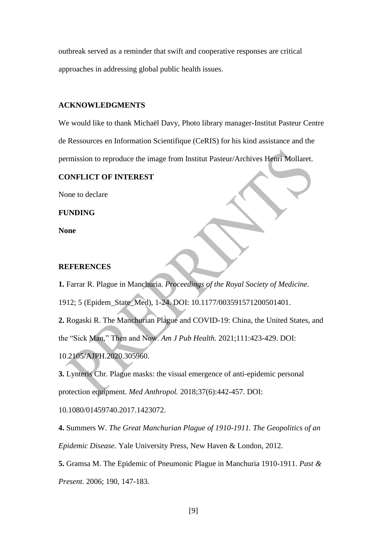outbreak served as a reminder that swift and cooperative responses are critical approaches in addressing global public health issues.

## **ACKNOWLEDGMENTS**

We would like to thank Michaël Davy, Photo library manager-Institut Pasteur Centre de Ressources en Information Scientifique (CeRIS) for his kind assistance and the permission to reproduce the image from Institut Pasteur/Archives Henri Mollaret.

## **CONFLICT OF INTEREST**

None to declare

**FUNDING**

**None**

# **REFERENCES**

**1.** Farrar R. Plague in Manchuria. *Proceedings of the Royal Society of Medicine.*

1912; 5 (Epidem\_State\_Med), 1-24. DOI: 10.1177/003591571200501401.

**2.** Rogaski R. The Manchurian Plague and COVID-19: China, the United States, and the "Sick Man," Then and Now. *Am J Pub Health.* 2021;111:423-429. DOI: 10.2105/AJPH.2020.305960.

**3.** Lynteris Chr. Plague masks: the visual emergence of anti-epidemic personal protection equipment. *Med Anthropol.* 2018;37(6):442-457. DOI:

10.1080/01459740.2017.1423072.

**4.** Summers W. *The Great Manchurian Plague of 1910-1911. The Geopolitics of an Epidemic Disease.* Yale University Press, New Haven & London, 2012.

**5.** Gramsa M. The Epidemic of Pneumonic Plague in Manchuria 1910-1911. *Past & Present.* 2006; 190, 147-183.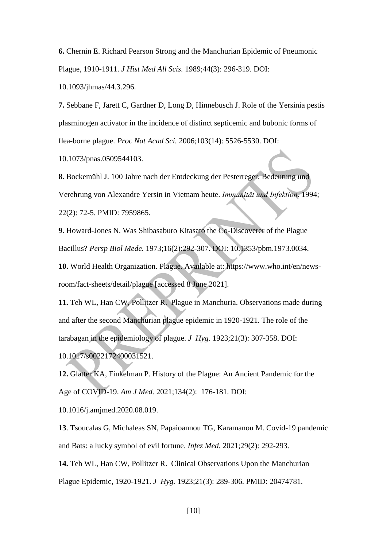**6.** Chernin E. Richard Pearson Strong and the Manchurian Epidemic of Pneumonic Plague, 1910-1911. *J Hist Med All Scis.* 1989;44(3): 296-319. DOI:

10.1093/jhmas/44.3.296.

**7.** Sebbane F, Jarett C, Gardner D, Long D, Hinnebusch J. Role of the Yersinia pestis plasminogen activator in the incidence of distinct septicemic and bubonic forms of flea-borne plague. *Proc Nat Acad Sci.* 2006;103(14): 5526-5530. DOI: 10.1073/pnas.0509544103.

**8.** Bockemühl J. 100 Jahre nach der Entdeckung der Pesterreger. Bedeutung und Verehrung von Alexandre Yersin in Vietnam heute. *Immunität und Infektion*. 1994; 22(2): 72-5. PMID: 7959865.

**9.** Howard-Jones N. Was Shibasaburo Kitasato the Co-Discoverer of the Plague Bacillus? *Persp Biol Mede.* 1973;16(2):292-307. DOI: 10.1353/pbm.1973.0034.

**10.** World Health Organization. Plague. Available at: https://www.who.int/en/newsroom/fact-sheets/detail/plague [accessed 8 June 2021].

**11.** Teh WL, Han CW, Pollitzer R. Plague in Manchuria. Observations made during and after the second Manchurian plague epidemic in 1920-1921. The role of the tarabagan in the epidemiology of plague. *J Hyg.* 1923;21(3): 307-358. DOI: 10.1017/s0022172400031521.

**12.** Glatter KA, Finkelman P. History of the Plague: An Ancient Pandemic for the Age of COVID-19. *Am J Med.* 2021;134(2): 176-181. DOI:

10.1016/j.amjmed.2020.08.019.

**13**. Tsoucalas G, Michaleas SN, Papaioannou TG, Karamanou M. Covid-19 pandemic and Bats: a lucky symbol of evil fortune. *Infez Med.* 2021;29(2): 292-293.

**14.** Teh WL, Han CW, Pollitzer R. Clinical Observations Upon the Manchurian Plague Epidemic, 1920-1921. *J Hyg.* 1923;21(3): 289-306. PMID: 20474781.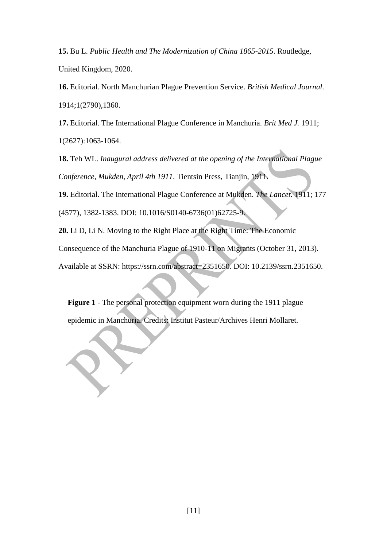**15.** Bu L. *Public Health and The Modernization of China 1865-2015*. Routledge, United Kingdom, 2020.

**16.** Editorial. North Manchurian Plague Prevention Service. *British Medical Journal.* 1914;1(2790),1360.

1**7.** Editorial. The International Plague Conference in Manchuria. *Brit Med J.* 1911; 1(2627):1063-1064.

**18.** Teh WL. *Inaugural address delivered at the opening of the International Plague Conference, Mukden, April 4th 1911*. Tientsin Press, Tianjin, 1911.

**19.** Editorial. The International Plague Conference at Mukden. *The Lancet.* 1911; 177

(4577), 1382-1383. DOI: 10.1016/S0140-6736(01)62725-9.

**20.** Li D, Li N. Moving to the Right Place at the Right Time: The Economic

Consequence of the Manchuria Plague of 1910-11 on Migrants (October 31, 2013).

Available at SSRN: [https://ssrn.com/abstract=2351650.](https://ssrn.com/abstract=2351650) DOI: 10.2139/ssrn.2351650.

**Figure 1** - The personal protection equipment worn during the 1911 plague epidemic in Manchuria. Credits: Institut Pasteur/Archives Henri Mollaret.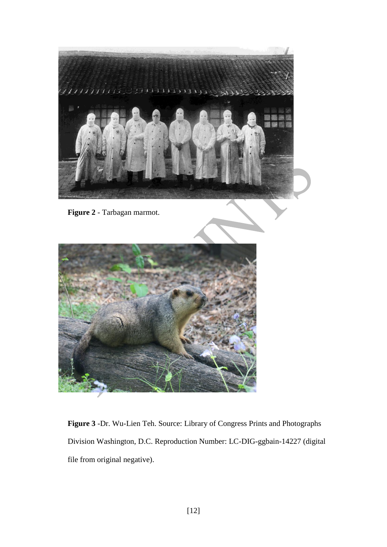

**Figure 2** - Tarbagan marmot.



**Figure 3** -Dr. Wu-Lien Teh. Source: Library of Congress Prints and Photographs Division Washington, D.C. Reproduction Number: LC-DIG-ggbain-14227 (digital file from original negative).